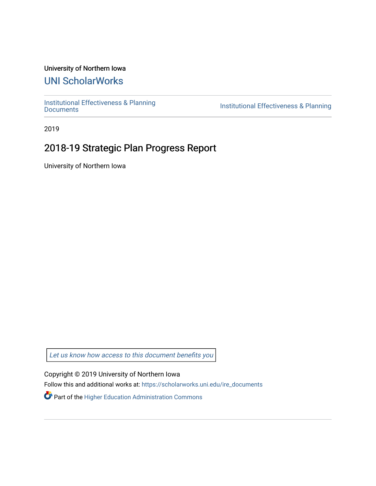### University of Northern Iowa

# [UNI ScholarWorks](https://scholarworks.uni.edu/)

[Institutional Effectiveness & Planning](https://scholarworks.uni.edu/ire_documents)

Institutional Effectiveness & Planning

2019

# 2018-19 Strategic Plan Progress Report

University of Northern Iowa

[Let us know how access to this document benefits you](https://scholarworks.uni.edu/feedback_form.html) 

Copyright © 2019 University of Northern Iowa

Follow this and additional works at: [https://scholarworks.uni.edu/ire\\_documents](https://scholarworks.uni.edu/ire_documents?utm_source=scholarworks.uni.edu%2Fire_documents%2F268&utm_medium=PDF&utm_campaign=PDFCoverPages) 

Part of the [Higher Education Administration Commons](http://network.bepress.com/hgg/discipline/791?utm_source=scholarworks.uni.edu%2Fire_documents%2F268&utm_medium=PDF&utm_campaign=PDFCoverPages)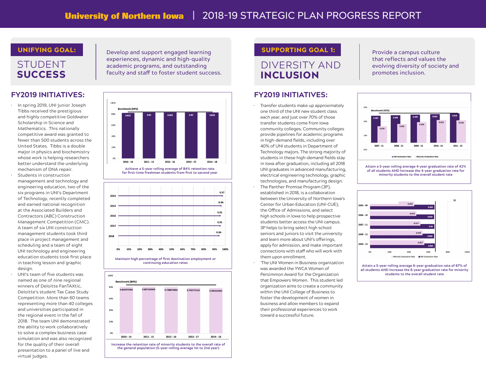## STUDENT **SUCCESS**

### **FY2019 INITIATIVES: FY2019 INITIATIVES:**

- In spring 2019, UNI junior Joseph Tibbs received the prestigious and highly competitive Goldwater Scholarship in Science and Mathematics. This nationally competitive award was granted to fewer than 500 students across the United States. Tibbs is a double major in physics and biochemistry whose work is helping researchers better understand the underlying mechanism of DNA repair.
- Students in construction management and technology and engineering education, two of the six programs in UNI's Department of Technology, recently completed and earned national recognition at the Associated Builders and Contractors (ABC) Construction Management Competition (CMC). A team of six UNI construction management students took third place in project management and scheduling and a team of eight UNI technology and engineering education students took first place in teaching lesson and graphic design.
- UNI's team of five students was named as one of nine regional winners of Deloitte FanTAXtic, Deloitte's student Tax Case Study Competition. More than 60 teams representing more than 40 colleges and universities participated in the regional event in the fall of 2018. The team UNI demonstrated the ability to work collaboratively to solve a complex business case simulation and was also recognized for the quality of their overall presentation to a panel of live and virtual judges.

UNIFYING GOAL: Support engaged learning SUPPORTING GOAL 1: experiences, dynamic and high-quality academic programs, and outstanding faculty and staff to foster student success.



**Achieve a 5-year rolling average of 84% retention rate**  for first-time freshman students from first to second year





## DIVERSITY AND INCLUSION

Provide a campus culture that reflects and values the evolving diversity of society and promotes inclusion.

- Transfer students make up approximately one third of the UNI new student class each year, and just over 70% of those transfer students come from Iowa community colleges. Community colleges provide pipelines for academic programs in high-demand fields, including over 40% of UNI students in Department of Technology majors. The strong majority of students in these high-demand fields stay in Iowa after graduation, including all 2018 UNI graduates in advanced manufacturing, electrical engineering technology, graphic technologies, and manufacturing design.
- The Panther Promise Program (3P), established in 2018, is a collaboration between the University of Northern Iowa's Center for Urban Education (UNI-CUE), the Office of Admissions, and select high schools in Iowa to help prospective students better access the UNI campus. 3P helps to bring select high school seniors and juniors to visit the university and learn more about UNI's offerings, apply for admission, and make important connections with staff who will work with them upon enrollment.
- `The UNI Women in Business organization was awarded the YWCA Women of Persimmon Award for the Organization that Empowers Women. This student led organization aims to create a community within the UNI College of Business to foster the development of women in business and allow members to expand their professional experiences to work toward a successful future.



**Attain a 5-year rolling average 4-year graduation rate of 42% of all students AND Increase the 4-year graduation rate for minority students to the overall student rate**



**students to the overall student rate**